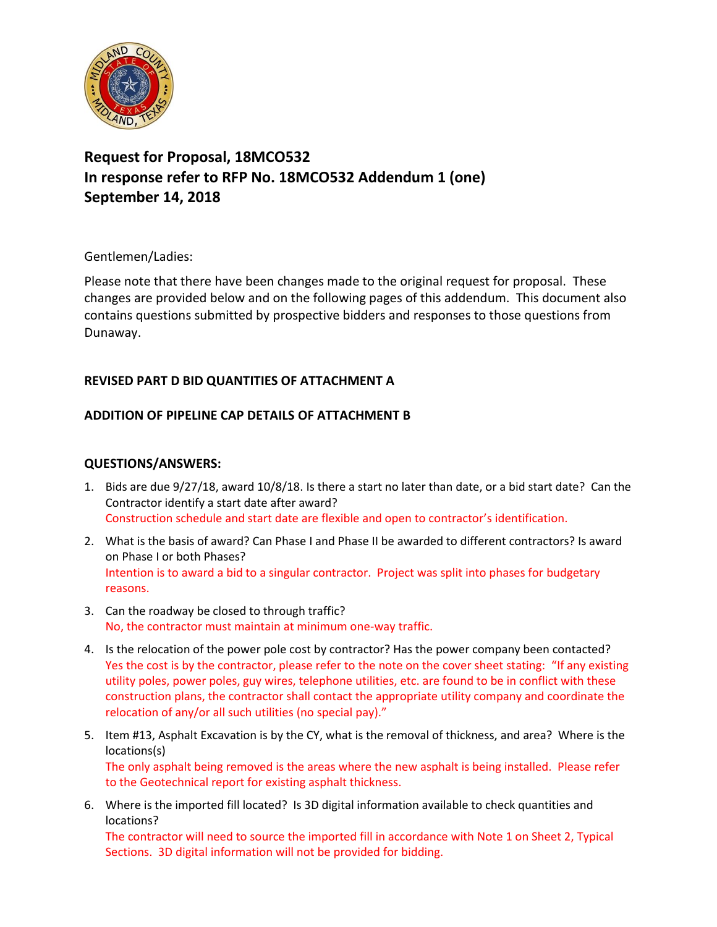

# **Request for Proposal, 18MCO532 In response refer to RFP No. 18MCO532 Addendum 1 (one) September 14, 2018**

## Gentlemen/Ladies:

Please note that there have been changes made to the original request for proposal. These changes are provided below and on the following pages of this addendum. This document also contains questions submitted by prospective bidders and responses to those questions from Dunaway.

## **REVISED PART D BID QUANTITIES OF ATTACHMENT A**

## **ADDITION OF PIPELINE CAP DETAILS OF ATTACHMENT B**

### **QUESTIONS/ANSWERS:**

- 1. Bids are due 9/27/18, award 10/8/18. Is there a start no later than date, or a bid start date? Can the Contractor identify a start date after award? Construction schedule and start date are flexible and open to contractor's identification.
- 2. What is the basis of award? Can Phase I and Phase II be awarded to different contractors? Is award on Phase I or both Phases? Intention is to award a bid to a singular contractor. Project was split into phases for budgetary reasons.
- 3. Can the roadway be closed to through traffic? No, the contractor must maintain at minimum one-way traffic.
- 4. Is the relocation of the power pole cost by contractor? Has the power company been contacted? Yes the cost is by the contractor, please refer to the note on the cover sheet stating: "If any existing utility poles, power poles, guy wires, telephone utilities, etc. are found to be in conflict with these construction plans, the contractor shall contact the appropriate utility company and coordinate the relocation of any/or all such utilities (no special pay)."
- 5. Item #13, Asphalt Excavation is by the CY, what is the removal of thickness, and area? Where is the locations(s) The only asphalt being removed is the areas where the new asphalt is being installed. Please refer to the Geotechnical report for existing asphalt thickness.
- 6. Where is the imported fill located? Is 3D digital information available to check quantities and locations?

The contractor will need to source the imported fill in accordance with Note 1 on Sheet 2, Typical Sections. 3D digital information will not be provided for bidding.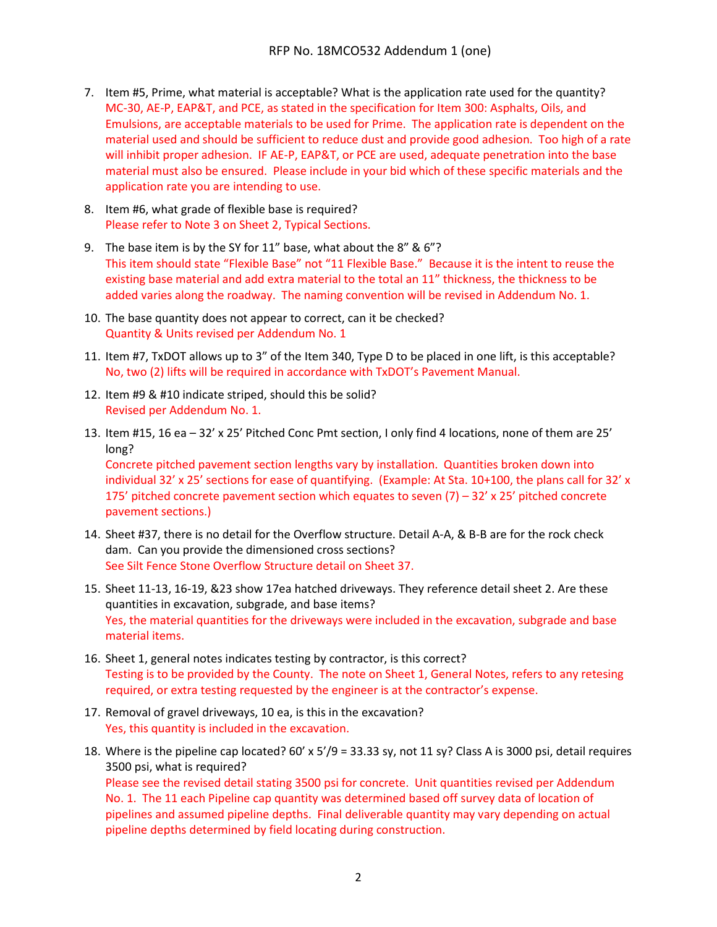- 7. Item #5, Prime, what material is acceptable? What is the application rate used for the quantity? MC-30, AE-P, EAP&T, and PCE, as stated in the specification for Item 300: Asphalts, Oils, and Emulsions, are acceptable materials to be used for Prime. The application rate is dependent on the material used and should be sufficient to reduce dust and provide good adhesion. Too high of a rate will inhibit proper adhesion. IF AE-P, EAP&T, or PCE are used, adequate penetration into the base material must also be ensured. Please include in your bid which of these specific materials and the application rate you are intending to use.
- 8. Item #6, what grade of flexible base is required? Please refer to Note 3 on Sheet 2, Typical Sections.
- 9. The base item is by the SY for 11" base, what about the 8" & 6"? This item should state "Flexible Base" not "11 Flexible Base." Because it is the intent to reuse the existing base material and add extra material to the total an 11" thickness, the thickness to be added varies along the roadway. The naming convention will be revised in Addendum No. 1.
- 10. The base quantity does not appear to correct, can it be checked? Quantity & Units revised per Addendum No. 1
- 11. Item #7, TxDOT allows up to 3" of the Item 340, Type D to be placed in one lift, is this acceptable? No, two (2) lifts will be required in accordance with TxDOT's Pavement Manual.
- 12. Item #9 & #10 indicate striped, should this be solid? Revised per Addendum No. 1.
- 13. Item #15, 16 ea 32' x 25' Pitched Conc Pmt section, I only find 4 locations, none of them are 25' long?

Concrete pitched pavement section lengths vary by installation. Quantities broken down into individual 32' x 25' sections for ease of quantifying. (Example: At Sta. 10+100, the plans call for 32' x 175' pitched concrete pavement section which equates to seven  $(7) - 32' \times 25'$  pitched concrete pavement sections.)

- 14. Sheet #37, there is no detail for the Overflow structure. Detail A-A, & B-B are for the rock check dam. Can you provide the dimensioned cross sections? See Silt Fence Stone Overflow Structure detail on Sheet 37.
- 15. Sheet 11-13, 16-19, &23 show 17ea hatched driveways. They reference detail sheet 2. Are these quantities in excavation, subgrade, and base items? Yes, the material quantities for the driveways were included in the excavation, subgrade and base material items.
- 16. Sheet 1, general notes indicates testing by contractor, is this correct? Testing is to be provided by the County. The note on Sheet 1, General Notes, refers to any retesing required, or extra testing requested by the engineer is at the contractor's expense.
- 17. Removal of gravel driveways, 10 ea, is this in the excavation? Yes, this quantity is included in the excavation.
- 18. Where is the pipeline cap located? 60' x 5'/9 = 33.33 sy, not 11 sy? Class A is 3000 psi, detail requires 3500 psi, what is required? Please see the revised detail stating 3500 psi for concrete. Unit quantities revised per Addendum No. 1. The 11 each Pipeline cap quantity was determined based off survey data of location of pipelines and assumed pipeline depths. Final deliverable quantity may vary depending on actual pipeline depths determined by field locating during construction.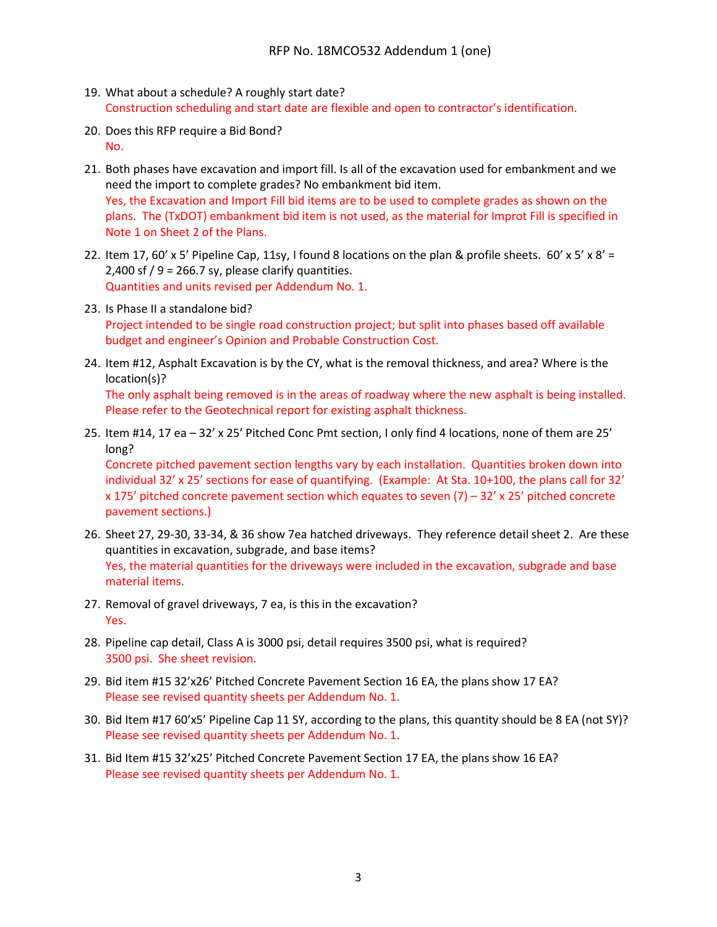- 19. What about a schedule? A roughly start date? Construction scheduling and start date are flexible and open to contractor's identification.
- 20. Does this RFP require a Bid Bond? No.
- 21. Both phases have excavation and import fill. Is all of the excavation used for embankment and we need the import to complete grades? No embankment bid item. Yes, the Excavation and Import Fill bid items are to be used to complete grades as shown on the plans. The (TxDOT) embankment bid item is not used, as the material for Improt Fill is specified in Note 1 on Sheet 2 of the Plans.
- 22. Item 17, 60' x 5' Pipeline Cap, 11sy, I found 8 locations on the plan & profile sheets.  $60' \times 5' \times 8' =$ 2,400 sf  $/ 9$  = 266.7 sy, please clarify quantities. Quantities and units revised per Addendum No. 1.
- 23. Is Phase II a standalone bid? Project intended to be single road construction project; but split into phases based off available budget and engineer's Opinion and Probable Construction Cost.
- 24. Item #12, Asphalt Excavation is by the CY, what is the removal thickness, and area? Where is the location(s)?

The only asphalt being removed is in the areas of roadway where the new asphalt is being installed. Please refer to the Geotechnical report for existing asphalt thickness.

25. Item #14, 17 ea – 32' x 25' Pitched Conc Pmt section, I only find 4 locations, none of them are 25' long?

Concrete pitched pavement section lengths vary by each installation. Quantities broken down into individual 32' x 25' sections for ease of quantifying. (Example: At Sta. 10+100, the plans call for 32' x 175' pitched concrete pavement section which equates to seven  $(7)$  – 32' x 25' pitched concrete pavement sections.)

- 26. Sheet 27, 29-30, 33-34, & 36 show 7ea hatched driveways. They reference detail sheet 2. Are these quantities in excavation, subgrade, and base items? Yes, the material quantities for the driveways were included in the excavation, subgrade and base material items.
- 27. Removal of gravel driveways, 7 ea, is this in the excavation? Yes.
- 28. Pipeline cap detail, Class A is 3000 psi, detail requires 3500 psi, what is required? 3500 psi. She sheet revision.
- 29. Bid item #15 32'x26' Pitched Concrete Pavement Section 16 EA, the plans show 17 EA? Please see revised quantity sheets per Addendum No. 1.
- 30. Bid Item #17 60'x5' Pipeline Cap 11 SY, according to the plans, this quantity should be 8 EA (not SY)? Please see revised quantity sheets per Addendum No. 1.
- 31. Bid Item #15 32'x25' Pitched Concrete Pavement Section 17 EA, the plans show 16 EA? Please see revised quantity sheets per Addendum No. 1.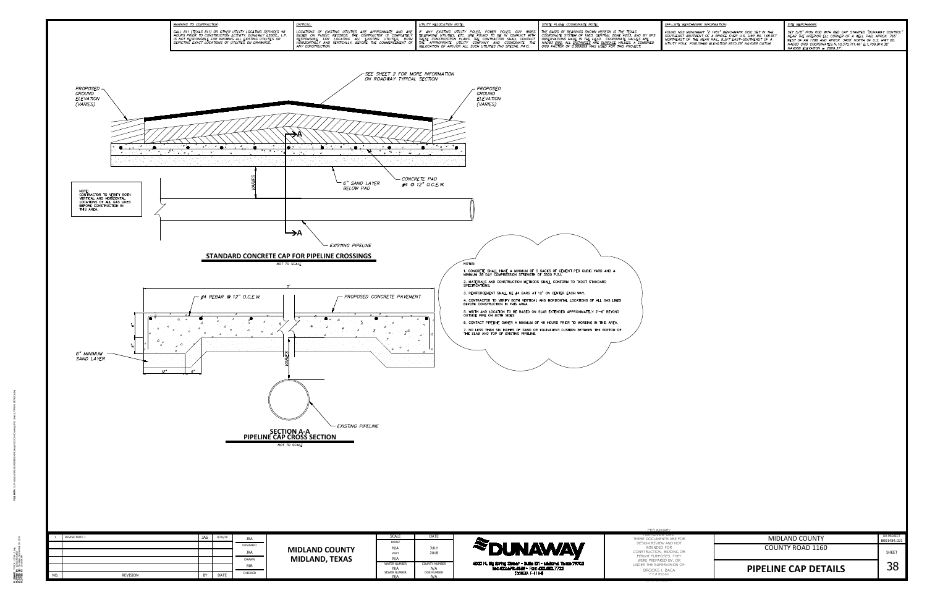| ЛŔ<br>I OF:      | <b>PIPELINE CAP DETAILS</b> |                           |
|------------------|-----------------------------|---------------------------|
| G OR<br>EY       | <b>COUNTY ROAD 1160</b>     | <b>SHEET</b>              |
| <b>FOR</b><br>NТ | <b>MIDLAND COUNTY</b>       | DA PROJECT<br>B001484.021 |



TYPICAL DETAILS.dwg<br>Jessica Schuttler Thursday, September 20, 2018<br>4: Thursday, September 20, 2018<br>1: 10:18:06 AM

| BENCHMARK INFORMATION: |
|------------------------|
|                        |

FOUND NGS MONUMENT "Z 1451" BENCHMARK DISC SET IN THE SOUTHEAST ABUTMENT OF A BRIDGE OVER U.S. HWY 80, 148.9FT<br>NORTHEAST OF THE NEAR RAIL, 9.3FT EAST-SOUTHEAST OF A UTILITY POLE. PUBLISHED ELEVATION: 2875.28' NAVD88 DATUM.

<u>SITE BENCHMARK:</u>

SET 5/8" IRON ROD WITH RED CAP STAMPED "DUNAWAY CONTROL" NEAR THE INTERIOR ELL CORNER OF A WELL PAD, APROX. 765' WEST OF FM 1788 AND APROX. 3400' NORTH OF U.S. HWY 80. NAD83 GRID COORDINATES: N: 10, 370, 711.46' E: 1, 709, 814.32'  $NAVDB8$  ELEVATION = 2889.37'.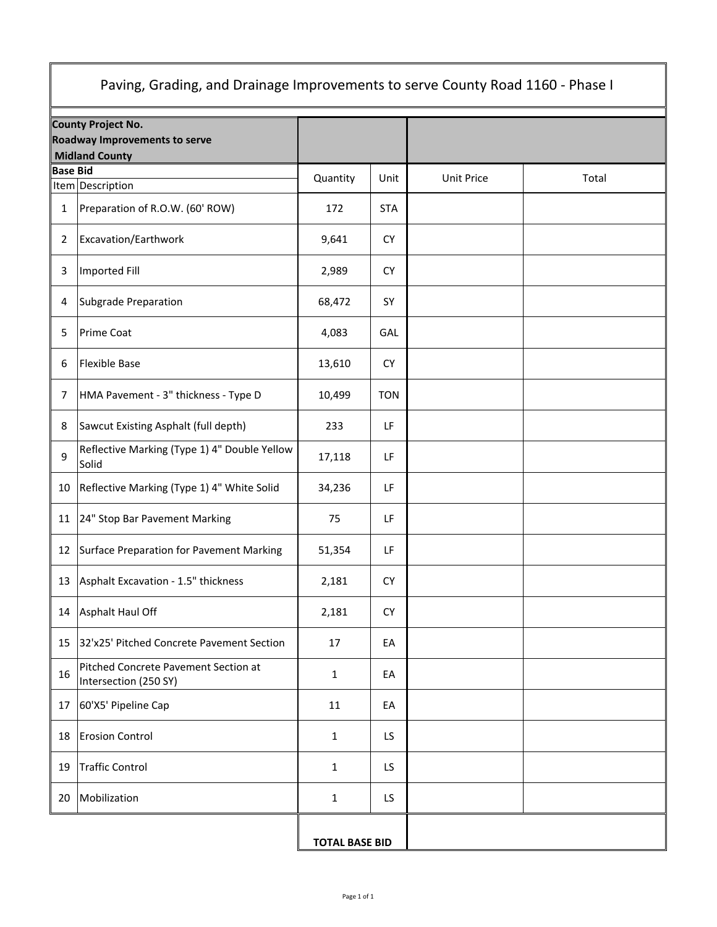| Paving, Grading, and Drainage Improvements to serve County Road 1160 - Phase I |                                                                                     |                       |            |                   |       |  |  |
|--------------------------------------------------------------------------------|-------------------------------------------------------------------------------------|-----------------------|------------|-------------------|-------|--|--|
|                                                                                | County Project No.<br><b>Roadway Improvements to serve</b><br><b>Midland County</b> |                       |            |                   |       |  |  |
| <b>Base Bid</b><br>Item Description                                            |                                                                                     | Quantity              | Unit       | <b>Unit Price</b> | Total |  |  |
| $\mathbf{1}$                                                                   | Preparation of R.O.W. (60' ROW)                                                     | 172                   | <b>STA</b> |                   |       |  |  |
| $\overline{2}$                                                                 | Excavation/Earthwork                                                                | 9,641                 | <b>CY</b>  |                   |       |  |  |
| $\mathbf{3}$                                                                   | <b>Imported Fill</b>                                                                | 2,989                 | <b>CY</b>  |                   |       |  |  |
| 4                                                                              | Subgrade Preparation                                                                | 68,472                | SY         |                   |       |  |  |
| 5                                                                              | <b>Prime Coat</b>                                                                   | 4,083                 | GAL        |                   |       |  |  |
| 6                                                                              | <b>Flexible Base</b>                                                                | 13,610                | <b>CY</b>  |                   |       |  |  |
| 7                                                                              | HMA Pavement - 3" thickness - Type D                                                | 10,499                | <b>TON</b> |                   |       |  |  |
| 8                                                                              | Sawcut Existing Asphalt (full depth)                                                | 233                   | LF         |                   |       |  |  |
| 9                                                                              | Reflective Marking (Type 1) 4" Double Yellow<br>Solid                               | 17,118                | LF         |                   |       |  |  |
| 10                                                                             | Reflective Marking (Type 1) 4" White Solid                                          | 34,236                | LF         |                   |       |  |  |
| 11                                                                             | 24" Stop Bar Pavement Marking                                                       | 75                    | LF         |                   |       |  |  |
| 12                                                                             | Surface Preparation for Pavement Marking                                            | 51,354                | LF         |                   |       |  |  |
|                                                                                | 13   Asphalt Excavation - 1.5" thickness                                            | 2,181                 | CY         |                   |       |  |  |
| 14                                                                             | Asphalt Haul Off                                                                    | 2,181                 | <b>CY</b>  |                   |       |  |  |
| 15                                                                             | 32'x25' Pitched Concrete Pavement Section                                           | 17                    | EA         |                   |       |  |  |
| 16                                                                             | Pitched Concrete Pavement Section at<br>Intersection (250 SY)                       | $\mathbf 1$           | EA         |                   |       |  |  |
| 17                                                                             | 60'X5' Pipeline Cap                                                                 | 11                    | EA         |                   |       |  |  |
| 18                                                                             | <b>Erosion Control</b>                                                              | $\mathbf 1$           | LS.        |                   |       |  |  |
| 19                                                                             | <b>Traffic Control</b>                                                              | $\mathbf{1}$          | LS.        |                   |       |  |  |
| 20                                                                             | Mobilization                                                                        | $\mathbf{1}$          | LS.        |                   |       |  |  |
|                                                                                |                                                                                     | <b>TOTAL BASE BID</b> |            |                   |       |  |  |